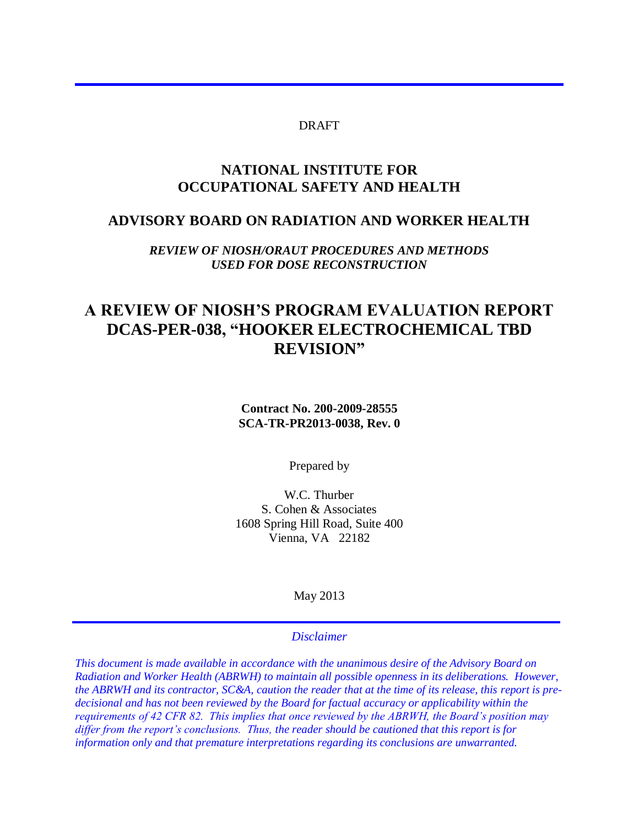#### DRAFT

#### **NATIONAL INSTITUTE FOR OCCUPATIONAL SAFETY AND HEALTH**

#### **ADVISORY BOARD ON RADIATION AND WORKER HEALTH**

*REVIEW OF NIOSH/ORAUT PROCEDURES AND METHODS USED FOR DOSE RECONSTRUCTION* 

# **A REVIEW OF NIOSH'S PROGRAM EVALUATION REPORT DCAS-PER-038, "HOOKER ELECTROCHEMICAL TBD REVISION"**

**Contract No. 200-2009-28555 SCA-TR-PR2013-0038, Rev. 0** 

Prepared by

W.C. Thurber S. Cohen & Associates 1608 Spring Hill Road, Suite 400 Vienna, VA 22182

May 2013

#### *Disclaimer*

*This document is made available in accordance with the unanimous desire of the Advisory Board on Radiation and Worker Health (ABRWH) to maintain all possible openness in its deliberations. However, the ABRWH and its contractor, SC&A, caution the reader that at the time of its release, this report is predecisional and has not been reviewed by the Board for factual accuracy or applicability within the requirements of 42 CFR 82. This implies that once reviewed by the ABRWH, the Board's position may differ from the report's conclusions. Thus, the reader should be cautioned that this report is for information only and that premature interpretations regarding its conclusions are unwarranted.*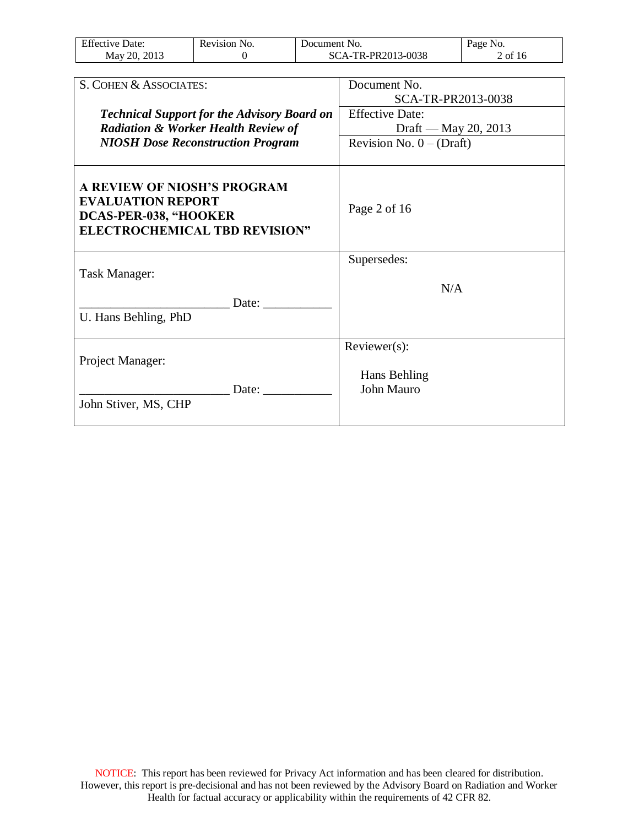| <b>Effective Date:</b> | Revision No. | Document No.       | Page No. |
|------------------------|--------------|--------------------|----------|
| 2013<br>May 20.        |              | SCA-TR-PR2013-0038 | of 16    |

| S. COHEN & ASSOCIATES:                                                                                                   | Document No.               |
|--------------------------------------------------------------------------------------------------------------------------|----------------------------|
|                                                                                                                          | SCA-TR-PR2013-0038         |
| <b>Technical Support for the Advisory Board on</b>                                                                       | <b>Effective Date:</b>     |
| <b>Radiation &amp; Worker Health Review of</b>                                                                           | Draft — May 20, 2013       |
| <b>NIOSH Dose Reconstruction Program</b>                                                                                 | Revision No. $0 - (Draff)$ |
| A REVIEW OF NIOSH'S PROGRAM<br><b>EVALUATION REPORT</b><br>DCAS-PER-038, "HOOKER<br><b>ELECTROCHEMICAL TBD REVISION"</b> | Page 2 of 16               |
| Task Manager:                                                                                                            | Supersedes:                |
|                                                                                                                          | N/A                        |
| Date:<br>U. Hans Behling, PhD                                                                                            |                            |
|                                                                                                                          | Reviewer(s):               |
| Project Manager:                                                                                                         |                            |
|                                                                                                                          | Hans Behling               |
| Date:<br>John Stiver, MS, CHP                                                                                            | <b>John Mauro</b>          |
|                                                                                                                          |                            |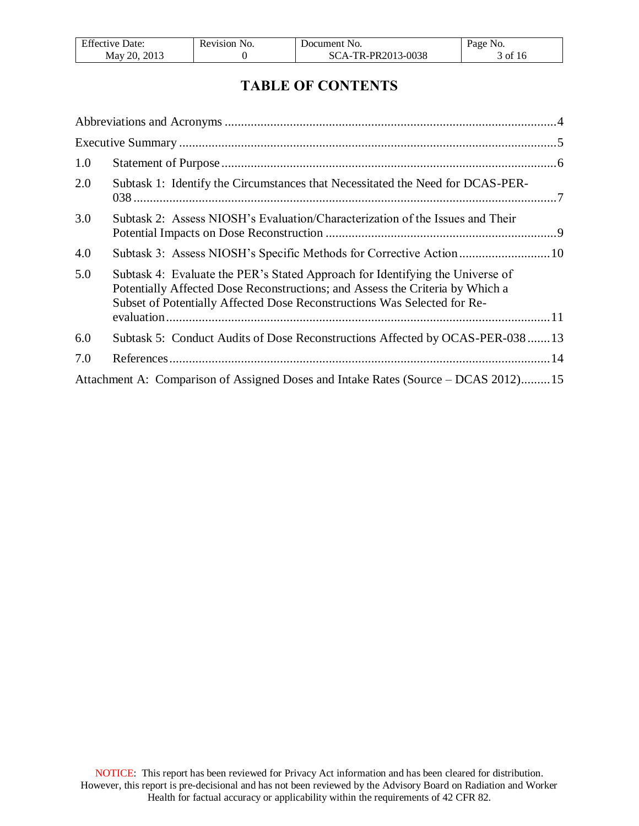| T C<br>Jate:<br>Effective L | NO.<br>Revision | Jocument No.             | N <sub>O</sub> .<br>Page |
|-----------------------------|-----------------|--------------------------|--------------------------|
| 2013<br>May 20.             |                 | -TR-PR2013-0038<br>SCA-T | of 16                    |

# **TABLE OF CONTENTS**

| 1.0 |                                                                                                                                                                                                                                            |  |
|-----|--------------------------------------------------------------------------------------------------------------------------------------------------------------------------------------------------------------------------------------------|--|
| 2.0 | Subtask 1: Identify the Circumstances that Necessitated the Need for DCAS-PER-                                                                                                                                                             |  |
| 3.0 | Subtask 2: Assess NIOSH's Evaluation/Characterization of the Issues and Their                                                                                                                                                              |  |
| 4.0 | Subtask 3: Assess NIOSH's Specific Methods for Corrective Action10                                                                                                                                                                         |  |
| 5.0 | Subtask 4: Evaluate the PER's Stated Approach for Identifying the Universe of<br>Potentially Affected Dose Reconstructions; and Assess the Criteria by Which a<br>Subset of Potentially Affected Dose Reconstructions Was Selected for Re- |  |
|     |                                                                                                                                                                                                                                            |  |
| 6.0 | Subtask 5: Conduct Audits of Dose Reconstructions Affected by OCAS-PER-038 13                                                                                                                                                              |  |
| 7.0 |                                                                                                                                                                                                                                            |  |
|     | Attachment A: Comparison of Assigned Doses and Intake Rates (Source – DCAS 2012)15                                                                                                                                                         |  |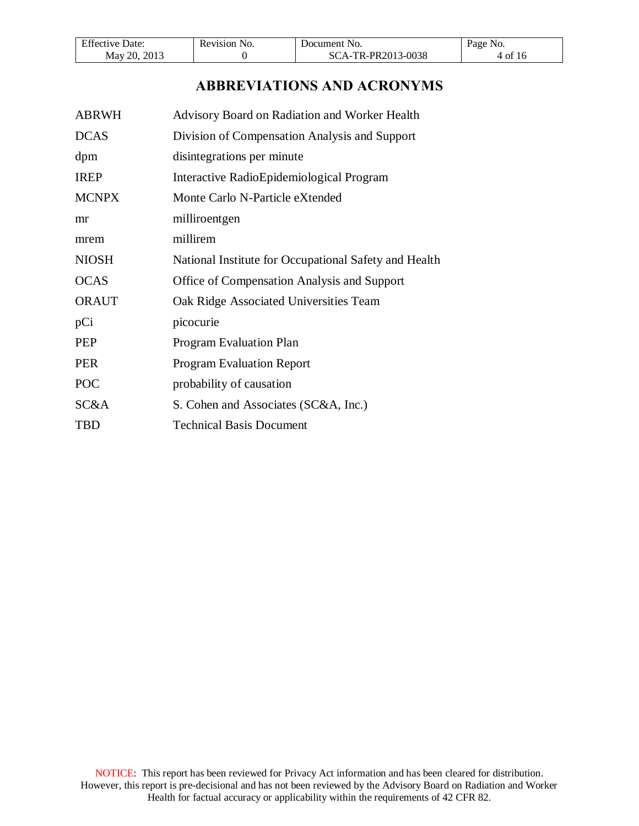| <b>Effective Date:</b> | Revision No. | Document No.       | NO.<br>Page |
|------------------------|--------------|--------------------|-------------|
| 2013<br>May 20.        |              | SCA-TR-PR2013-0038 | 4 of 16     |

# **ABBREVIATIONS AND ACRONYMS**

<span id="page-3-0"></span>

| <b>ABRWH</b> | Advisory Board on Radiation and Worker Health         |
|--------------|-------------------------------------------------------|
| <b>DCAS</b>  | Division of Compensation Analysis and Support         |
| dpm          | disintegrations per minute                            |
| <b>IREP</b>  | Interactive RadioEpidemiological Program              |
| <b>MCNPX</b> | Monte Carlo N-Particle eXtended                       |
| mr           | milliroentgen                                         |
| mrem         | millirem                                              |
| <b>NIOSH</b> | National Institute for Occupational Safety and Health |
| <b>OCAS</b>  | Office of Compensation Analysis and Support           |
| <b>ORAUT</b> | Oak Ridge Associated Universities Team                |
| pCi          | picocurie                                             |
| <b>PEP</b>   | <b>Program Evaluation Plan</b>                        |
| <b>PER</b>   | <b>Program Evaluation Report</b>                      |
| <b>POC</b>   | probability of causation                              |
| SC&A         | S. Cohen and Associates (SC&A, Inc.)                  |
| <b>TBD</b>   | <b>Technical Basis Document</b>                       |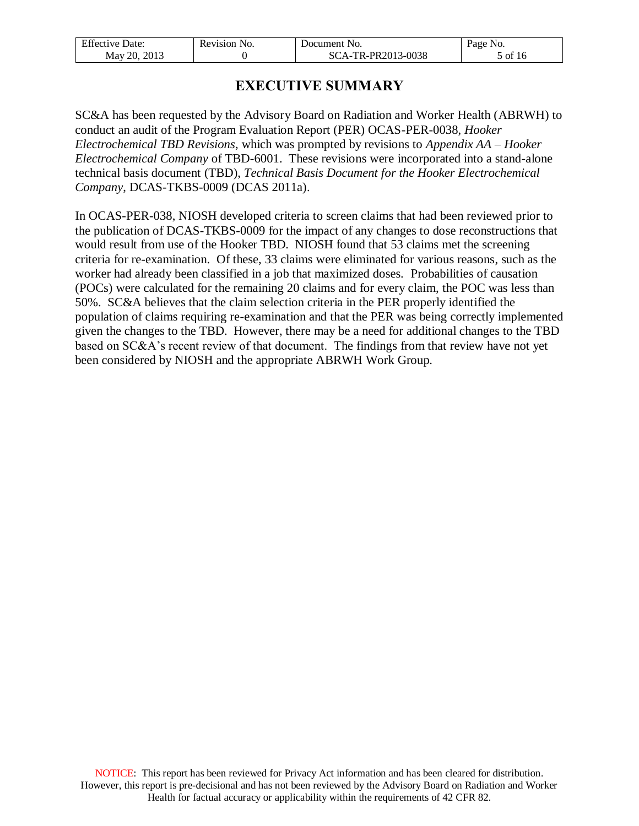| <b>Effective Date:</b> | Revision No. | Document No.       | Page No. |
|------------------------|--------------|--------------------|----------|
| May 20, 2013           |              | SCA-TR-PR2013-0038 | 5 of 16  |

# **EXECUTIVE SUMMARY**

<span id="page-4-0"></span>SC&A has been requested by the Advisory Board on Radiation and Worker Health (ABRWH) to conduct an audit of the Program Evaluation Report (PER) OCAS-PER-0038, *Hooker Electrochemical TBD Revisions*, which was prompted by revisions to *Appendix AA – Hooker Electrochemical Company* of TBD-6001. These revisions were incorporated into a stand-alone technical basis document (TBD), *Technical Basis Document for the Hooker Electrochemical Company*, DCAS-TKBS-0009 (DCAS 2011a).

In OCAS-PER-038, NIOSH developed criteria to screen claims that had been reviewed prior to the publication of DCAS-TKBS-0009 for the impact of any changes to dose reconstructions that would result from use of the Hooker TBD. NIOSH found that 53 claims met the screening criteria for re-examination. Of these, 33 claims were eliminated for various reasons, such as the worker had already been classified in a job that maximized doses. Probabilities of causation (POCs) were calculated for the remaining 20 claims and for every claim, the POC was less than 50%. SC&A believes that the claim selection criteria in the PER properly identified the population of claims requiring re-examination and that the PER was being correctly implemented given the changes to the TBD. However, there may be a need for additional changes to the TBD based on SC&A's recent review of that document. The findings from that review have not yet been considered by NIOSH and the appropriate ABRWH Work Group.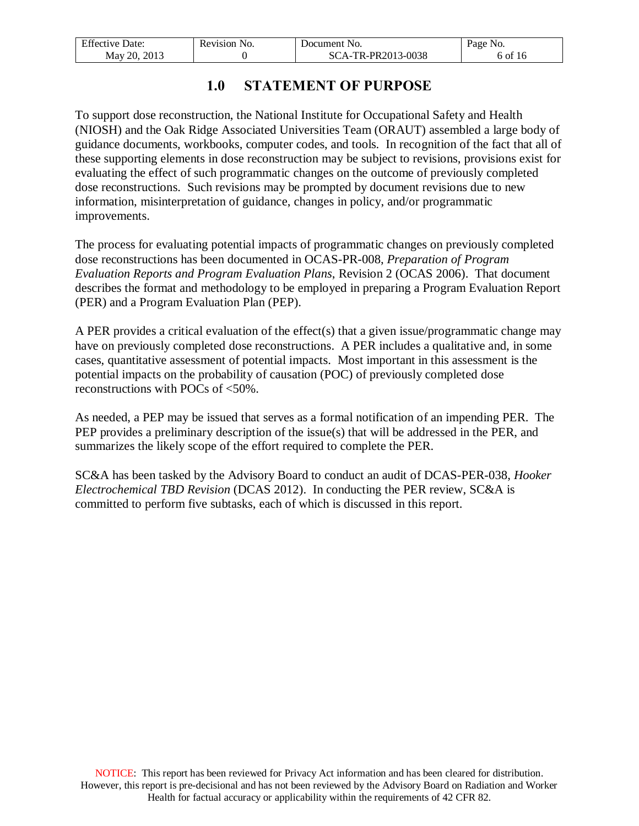| <b>Effective Date:</b> | Revision No. | Document No.       | Page No. |
|------------------------|--------------|--------------------|----------|
| May 20, 2013           |              | SCA-TR-PR2013-0038 | 6 of 16  |

### **1.0 STATEMENT OF PURPOSE**

<span id="page-5-0"></span>To support dose reconstruction, the National Institute for Occupational Safety and Health (NIOSH) and the Oak Ridge Associated Universities Team (ORAUT) assembled a large body of guidance documents, workbooks, computer codes, and tools. In recognition of the fact that all of these supporting elements in dose reconstruction may be subject to revisions, provisions exist for evaluating the effect of such programmatic changes on the outcome of previously completed dose reconstructions. Such revisions may be prompted by document revisions due to new information, misinterpretation of guidance, changes in policy, and/or programmatic improvements.

The process for evaluating potential impacts of programmatic changes on previously completed dose reconstructions has been documented in OCAS-PR-008, *Preparation of Program Evaluation Reports and Program Evaluation Plans*, Revision 2 (OCAS 2006). That document describes the format and methodology to be employed in preparing a Program Evaluation Report (PER) and a Program Evaluation Plan (PEP).

A PER provides a critical evaluation of the effect(s) that a given issue/programmatic change may have on previously completed dose reconstructions. A PER includes a qualitative and, in some cases, quantitative assessment of potential impacts. Most important in this assessment is the potential impacts on the probability of causation (POC) of previously completed dose reconstructions with POCs of <50%.

As needed, a PEP may be issued that serves as a formal notification of an impending PER. The PEP provides a preliminary description of the issue(s) that will be addressed in the PER, and summarizes the likely scope of the effort required to complete the PER.

SC&A has been tasked by the Advisory Board to conduct an audit of DCAS-PER-038, *Hooker Electrochemical TBD Revision* (DCAS 2012). In conducting the PER review, SC&A is committed to perform five subtasks, each of which is discussed in this report.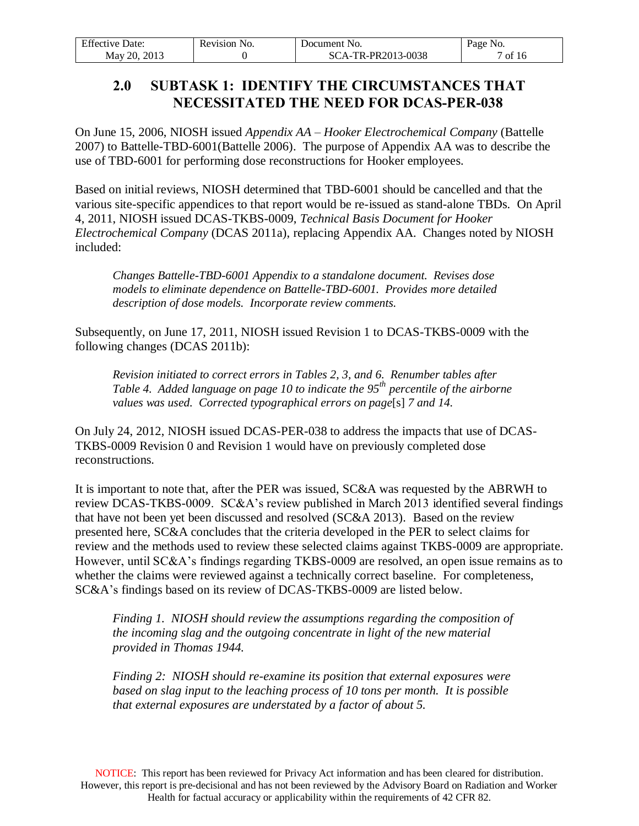| <b>Effective Date:</b> | Revision No. | Document No.       | Page No. |
|------------------------|--------------|--------------------|----------|
| May 20, 2013           |              | SCA-TR-PR2013-0038 | ' of 16  |

#### <span id="page-6-0"></span>**2.0 SUBTASK 1: IDENTIFY THE CIRCUMSTANCES THAT NECESSITATED THE NEED FOR DCAS-PER-038**

On June 15, 2006, NIOSH issued *Appendix AA – Hooker Electrochemical Company* (Battelle 2007) to Battelle-TBD-6001(Battelle 2006). The purpose of Appendix AA was to describe the use of TBD-6001 for performing dose reconstructions for Hooker employees.

Based on initial reviews, NIOSH determined that TBD-6001 should be cancelled and that the various site-specific appendices to that report would be re-issued as stand-alone TBDs. On April 4, 2011, NIOSH issued DCAS-TKBS-0009, *Technical Basis Document for Hooker Electrochemical Company* (DCAS 2011a), replacing Appendix AA. Changes noted by NIOSH included:

*Changes Battelle-TBD-6001 Appendix to a standalone document. Revises dose models to eliminate dependence on Battelle-TBD-6001. Provides more detailed description of dose models. Incorporate review comments.*

Subsequently, on June 17, 2011, NIOSH issued Revision 1 to DCAS-TKBS-0009 with the following changes (DCAS 2011b):

*Revision initiated to correct errors in Tables 2, 3, and 6. Renumber tables after Table 4. Added language on page 10 to indicate the 95th percentile of the airborne values was used. Corrected typographical errors on page*[s] *7 and 14.* 

On July 24, 2012, NIOSH issued DCAS-PER-038 to address the impacts that use of DCAS-TKBS-0009 Revision 0 and Revision 1 would have on previously completed dose reconstructions.

It is important to note that, after the PER was issued, SC&A was requested by the ABRWH to review DCAS-TKBS-0009. SC&A's review published in March 2013 identified several findings that have not been yet been discussed and resolved (SC&A 2013). Based on the review presented here, SC&A concludes that the criteria developed in the PER to select claims for review and the methods used to review these selected claims against TKBS-0009 are appropriate. However, until SC&A's findings regarding TKBS-0009 are resolved, an open issue remains as to whether the claims were reviewed against a technically correct baseline. For completeness, SC&A's findings based on its review of DCAS-TKBS-0009 are listed below.

*Finding 1. NIOSH should review the assumptions regarding the composition of the incoming slag and the outgoing concentrate in light of the new material provided in Thomas 1944.*

*Finding 2: NIOSH should re-examine its position that external exposures were based on slag input to the leaching process of 10 tons per month. It is possible that external exposures are understated by a factor of about 5.*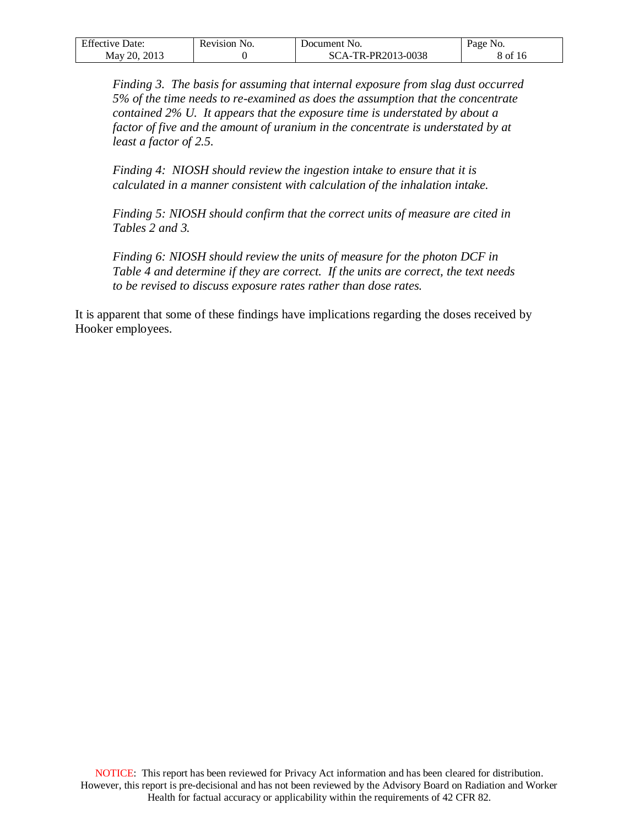| <b>Effective Date:</b> | Revision No. | Document No.       | Page No. |
|------------------------|--------------|--------------------|----------|
| May 20, 2013           |              | SCA-TR-PR2013-0038 | 8 of 16  |

*Finding 3. The basis for assuming that internal exposure from slag dust occurred 5% of the time needs to re-examined as does the assumption that the concentrate contained 2% U. It appears that the exposure time is understated by about a factor of five and the amount of uranium in the concentrate is understated by at least a factor of 2.5.*

*Finding 4: NIOSH should review the ingestion intake to ensure that it is calculated in a manner consistent with calculation of the inhalation intake.*

*Finding 5: NIOSH should confirm that the correct units of measure are cited in Tables 2 and 3.*

*Finding 6: NIOSH should review the units of measure for the photon DCF in Table 4 and determine if they are correct. If the units are correct, the text needs to be revised to discuss exposure rates rather than dose rates.*

It is apparent that some of these findings have implications regarding the doses received by Hooker employees.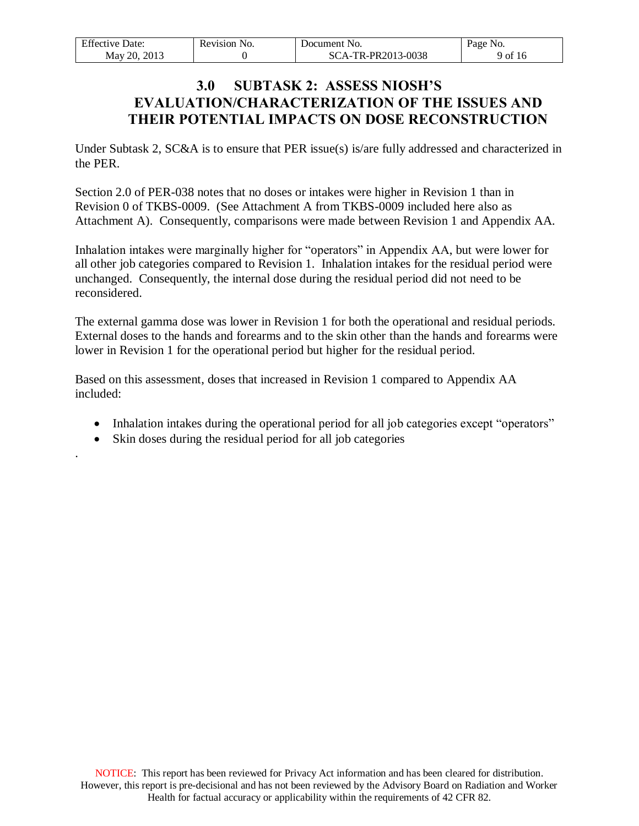<span id="page-8-0"></span>

| <b>Effective Date:</b> | Revision No. | Document No.       | Page No. |
|------------------------|--------------|--------------------|----------|
| May 20, 2013           |              | SCA-TR-PR2013-0038 | 9 of 16  |

#### **3.0 SUBTASK 2: ASSESS NIOSH'S EVALUATION/CHARACTERIZATION OF THE ISSUES AND THEIR POTENTIAL IMPACTS ON DOSE RECONSTRUCTION**

Under Subtask 2, SC&A is to ensure that PER issue(s) is/are fully addressed and characterized in the PER.

Section 2.0 of PER-038 notes that no doses or intakes were higher in Revision 1 than in Revision 0 of TKBS-0009. (See Attachment A from TKBS-0009 included here also as Attachment A). Consequently, comparisons were made between Revision 1 and Appendix AA.

Inhalation intakes were marginally higher for "operators" in Appendix AA, but were lower for all other job categories compared to Revision 1. Inhalation intakes for the residual period were unchanged. Consequently, the internal dose during the residual period did not need to be reconsidered.

The external gamma dose was lower in Revision 1 for both the operational and residual periods. External doses to the hands and forearms and to the skin other than the hands and forearms were lower in Revision 1 for the operational period but higher for the residual period.

Based on this assessment, doses that increased in Revision 1 compared to Appendix AA included:

- Inhalation intakes during the operational period for all job categories except "operators"
- Skin doses during the residual period for all job categories

.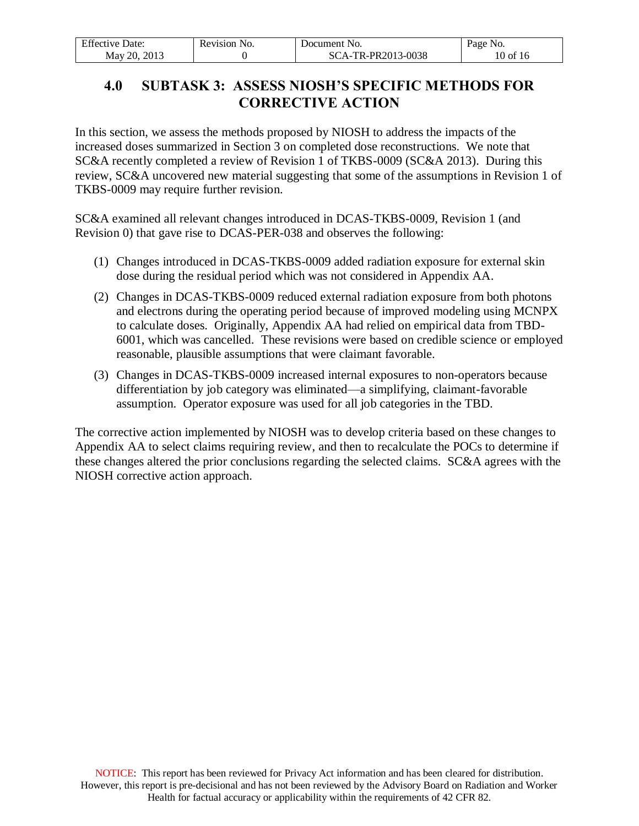| $T^{\alpha}$<br>Jate:<br>-Effective I | NO.<br>Revision | Jocument No.             | Page No.           |
|---------------------------------------|-----------------|--------------------------|--------------------|
| 2013<br>May 20.                       |                 | -TR-PR2013-0038<br>SCA-' | - of<br>-10<br>∡U. |

# <span id="page-9-0"></span>**4.0 SUBTASK 3: ASSESS NIOSH'S SPECIFIC METHODS FOR CORRECTIVE ACTION**

In this section, we assess the methods proposed by NIOSH to address the impacts of the increased doses summarized in Section 3 on completed dose reconstructions. We note that SC&A recently completed a review of Revision 1 of TKBS-0009 (SC&A 2013). During this review, SC&A uncovered new material suggesting that some of the assumptions in Revision 1 of TKBS-0009 may require further revision.

SC&A examined all relevant changes introduced in DCAS-TKBS-0009, Revision 1 (and Revision 0) that gave rise to DCAS-PER-038 and observes the following:

- (1) Changes introduced in DCAS-TKBS-0009 added radiation exposure for external skin dose during the residual period which was not considered in Appendix AA.
- (2) Changes in DCAS-TKBS-0009 reduced external radiation exposure from both photons and electrons during the operating period because of improved modeling using MCNPX to calculate doses. Originally, Appendix AA had relied on empirical data from TBD-6001, which was cancelled. These revisions were based on credible science or employed reasonable, plausible assumptions that were claimant favorable.
- (3) Changes in DCAS-TKBS-0009 increased internal exposures to non-operators because differentiation by job category was eliminated—a simplifying, claimant-favorable assumption. Operator exposure was used for all job categories in the TBD.

The corrective action implemented by NIOSH was to develop criteria based on these changes to Appendix AA to select claims requiring review, and then to recalculate the POCs to determine if these changes altered the prior conclusions regarding the selected claims. SC&A agrees with the NIOSH corrective action approach.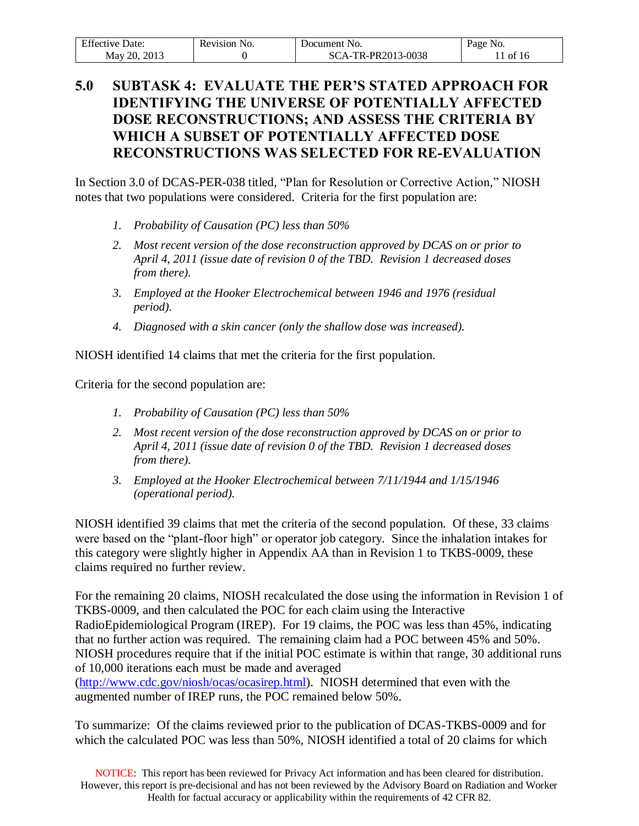| <b>Effective Date:</b> | Revision No. | Document No.       | Page No. |
|------------------------|--------------|--------------------|----------|
| 2013<br>Mav 20.        |              | SCA-TR-PR2013-0038 | of 16    |

# <span id="page-10-0"></span>**5.0 SUBTASK 4: EVALUATE THE PER'S STATED APPROACH FOR IDENTIFYING THE UNIVERSE OF POTENTIALLY AFFECTED DOSE RECONSTRUCTIONS; AND ASSESS THE CRITERIA BY WHICH A SUBSET OF POTENTIALLY AFFECTED DOSE RECONSTRUCTIONS WAS SELECTED FOR RE-EVALUATION**

In Section 3.0 of DCAS-PER-038 titled, "Plan for Resolution or Corrective Action," NIOSH notes that two populations were considered. Criteria for the first population are:

- *1. Probability of Causation (PC) less than 50%*
- *2. Most recent version of the dose reconstruction approved by DCAS on or prior to April 4, 2011 (issue date of revision 0 of the TBD. Revision 1 decreased doses from there).*
- *3. Employed at the Hooker Electrochemical between 1946 and 1976 (residual period).*
- *4. Diagnosed with a skin cancer (only the shallow dose was increased).*

NIOSH identified 14 claims that met the criteria for the first population.

Criteria for the second population are:

- *1. Probability of Causation (PC) less than 50%*
- *2. Most recent version of the dose reconstruction approved by DCAS on or prior to April 4, 2011 (issue date of revision 0 of the TBD. Revision 1 decreased doses from there).*
- *3. Employed at the Hooker Electrochemical between 7/11/1944 and 1/15/1946 (operational period).*

NIOSH identified 39 claims that met the criteria of the second population. Of these, 33 claims were based on the "plant-floor high" or operator job category. Since the inhalation intakes for this category were slightly higher in Appendix AA than in Revision 1 to TKBS-0009, these claims required no further review.

For the remaining 20 claims, NIOSH recalculated the dose using the information in Revision 1 of TKBS-0009, and then calculated the POC for each claim using the Interactive RadioEpidemiological Program (IREP). For 19 claims, the POC was less than 45%, indicating that no further action was required. The remaining claim had a POC between 45% and 50%. NIOSH procedures require that if the initial POC estimate is within that range, 30 additional runs of 10,000 iterations each must be made and averaged [\(http://www.cdc.gov/niosh/ocas/ocasirep.html\)](http://www.cdc.gov/niosh/ocas/ocasirep.html). NIOSH determined that even with the augmented number of IREP runs, the POC remained below 50%.

To summarize: Of the claims reviewed prior to the publication of DCAS-TKBS-0009 and for which the calculated POC was less than 50%, NIOSH identified a total of 20 claims for which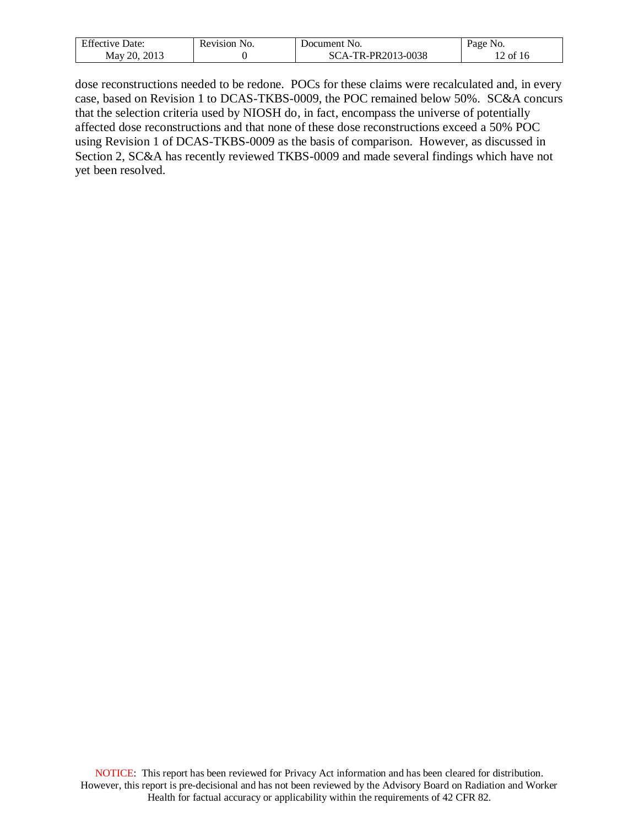| Effective 1<br>Date: | Revision No. | Document No.           | Page No. |
|----------------------|--------------|------------------------|----------|
| May 20,<br>2013      |              | CA-TR-PR2013-0038<br>Ñ | ' of     |

dose reconstructions needed to be redone. POCs for these claims were recalculated and, in every case, based on Revision 1 to DCAS-TKBS-0009, the POC remained below 50%. SC&A concurs that the selection criteria used by NIOSH do, in fact, encompass the universe of potentially affected dose reconstructions and that none of these dose reconstructions exceed a 50% POC using Revision 1 of DCAS-TKBS-0009 as the basis of comparison. However, as discussed in Section 2, SC&A has recently reviewed TKBS-0009 and made several findings which have not yet been resolved.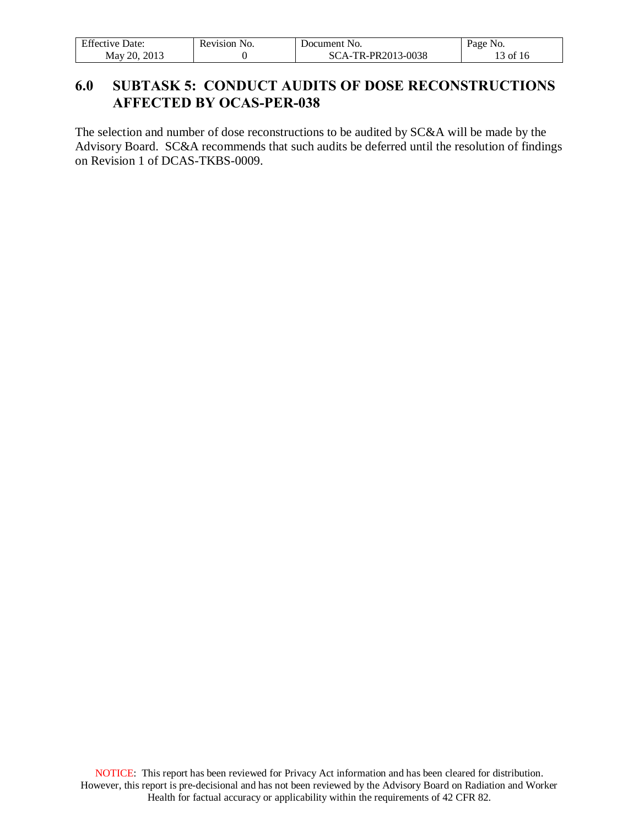| <b>Effective Date:</b> | Revision No. | Document No.       | Page No.           |
|------------------------|--------------|--------------------|--------------------|
| . 2013<br>May 20.      |              | SCA-TR-PR2013-0038 | $13$ of $12$<br>10 |

# <span id="page-12-0"></span>**6.0 SUBTASK 5: CONDUCT AUDITS OF DOSE RECONSTRUCTIONS AFFECTED BY OCAS-PER-038**

The selection and number of dose reconstructions to be audited by SC&A will be made by the Advisory Board. SC&A recommends that such audits be deferred until the resolution of findings on Revision 1 of DCAS-TKBS-0009.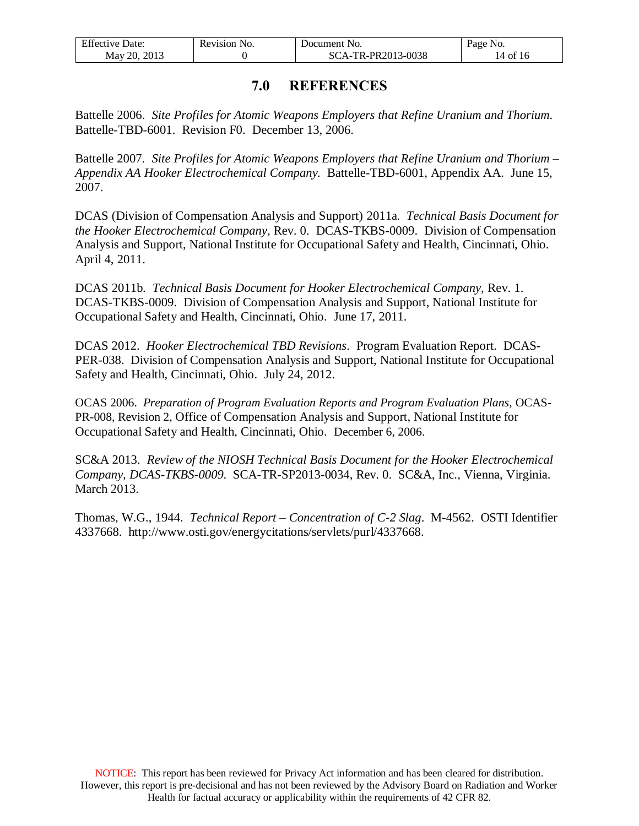| <b>Effective Date:</b> | Revision No. | Document No.       | Page No.                   |
|------------------------|--------------|--------------------|----------------------------|
| May 20, 2013           |              | SCA-TR-PR2013-0038 | $14$ of $1^{\circ}$<br>-16 |

#### **7.0 REFERENCES**

<span id="page-13-0"></span>Battelle 2006. *Site Profiles for Atomic Weapons Employers that Refine Uranium and Thorium*. Battelle-TBD-6001. Revision F0. December 13, 2006.

Battelle 2007. *Site Profiles for Atomic Weapons Employers that Refine Uranium and Thorium – Appendix AA Hooker Electrochemical Company.* Battelle-TBD-6001, Appendix AA. June 15, 2007.

DCAS (Division of Compensation Analysis and Support) 2011a. *Technical Basis Document for the Hooker Electrochemical Company*, Rev. 0. DCAS-TKBS-0009. Division of Compensation Analysis and Support, National Institute for Occupational Safety and Health, Cincinnati, Ohio. April 4, 2011.

DCAS 2011b. *Technical Basis Document for Hooker Electrochemical Company,* Rev. 1. DCAS-TKBS-0009. Division of Compensation Analysis and Support, National Institute for Occupational Safety and Health, Cincinnati, Ohio. June 17, 2011.

DCAS 2012. *Hooker Electrochemical TBD Revisions*. Program Evaluation Report. DCAS-PER-038. Division of Compensation Analysis and Support, National Institute for Occupational Safety and Health, Cincinnati, Ohio. July 24, 2012.

OCAS 2006. *Preparation of Program Evaluation Reports and Program Evaluation Plans,* OCAS-PR-008, Revision 2, Office of Compensation Analysis and Support, National Institute for Occupational Safety and Health, Cincinnati, Ohio. December 6, 2006.

SC&A 2013. *Review of the NIOSH Technical Basis Document for the Hooker Electrochemical Company, DCAS-TKBS-0009*. SCA-TR-SP2013-0034, Rev. 0. SC&A, Inc., Vienna, Virginia. March 2013.

Thomas, W.G., 1944. *Technical Report – Concentration of C-2 Slag*. M-4562. OSTI Identifier 4337668. http://www.osti.gov/energycitations/servlets/purl/4337668.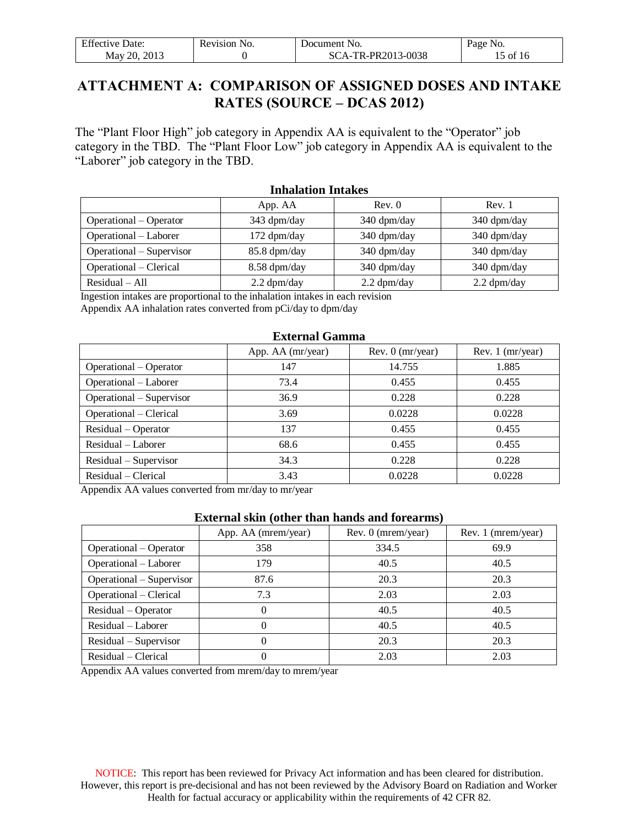| <b>Effective Date:</b> | Revision No. | Document No.       | Page No. |
|------------------------|--------------|--------------------|----------|
| May 20, 2013           |              | SCA-TR-PR2013-0038 | 15 of 16 |

#### <span id="page-14-0"></span>**ATTACHMENT A: COMPARISON OF ASSIGNED DOSES AND INTAKE RATES (SOURCE – DCAS 2012)**

The "Plant Floor High" job category in Appendix AA is equivalent to the "Operator" job category in the TBD. The "Plant Floor Low" job category in Appendix AA is equivalent to the "Laborer" job category in the TBD.

| THRAIGHUIL THIANGS       |               |               |                       |  |
|--------------------------|---------------|---------------|-----------------------|--|
|                          | App. AA       | Rev. 0        | Rev. 1                |  |
| Operational – Operator   | 343 dpm/day   | 340 dpm/day   | 340 dpm/day           |  |
| Operational – Laborer    | 172 dpm/day   | 340 dpm/day   | $340 \text{ dpm/day}$ |  |
| Operational – Supervisor | 85.8 dpm/day  | 340 dpm/day   | 340 dpm/day           |  |
| Operational – Clerical   | 8.58 dpm/day  | 340 dpm/day   | 340 dpm/day           |  |
| $Residual - All$         | $2.2$ dpm/day | $2.2$ dpm/day | $2.2$ dpm/day         |  |
|                          |               |               |                       |  |

**Inhalation Intakes**

Ingestion intakes are proportional to the inhalation intakes in each revision

Appendix AA inhalation rates converted from pCi/day to dpm/day

#### **External Gamma**

|                          | App. AA (mr/year) | Rev. $0 \,$ (mr/year) | Rev. $1$ (mr/year) |
|--------------------------|-------------------|-----------------------|--------------------|
| Operational – Operator   | 147               | 14.755                | 1.885              |
| Operational - Laborer    | 73.4              | 0.455                 | 0.455              |
| Operational – Supervisor | 36.9              | 0.228                 | 0.228              |
| Operational – Clerical   | 3.69              | 0.0228                | 0.0228             |
| Residual – Operator      | 137               | 0.455                 | 0.455              |
| Residual – Laborer       | 68.6              | 0.455                 | 0.455              |
| Residual – Supervisor    | 34.3              | 0.228                 | 0.228              |
| Residual – Clerical      | 3.43              | 0.0228                | 0.0228             |

Appendix AA values converted from mr/day to mr/year

#### **External skin (other than hands and forearms)**

|                          | App. AA (mrem/year) | Rev. 0 (mrem/year) | Rev. 1 (mrem/year) |
|--------------------------|---------------------|--------------------|--------------------|
| Operational – Operator   | 358                 | 334.5              | 69.9               |
| Operational - Laborer    | 179                 | 40.5               | 40.5               |
| Operational – Supervisor | 87.6                | 20.3               | 20.3               |
| Operational – Clerical   | 7.3                 | 2.03               | 2.03               |
| Residual – Operator      | $\theta$            | 40.5               | 40.5               |
| Residual – Laborer       | $\Omega$            | 40.5               | 40.5               |
| Residual – Supervisor    | 0                   | 20.3               | 20.3               |
| Residual – Clerical      | 0                   | 2.03               | 2.03               |

Appendix AA values converted from mrem/day to mrem/year

NOTICE: This report has been reviewed for Privacy Act information and has been cleared for distribution. However, this report is pre-decisional and has not been reviewed by the Advisory Board on Radiation and Worker Health for factual accuracy or applicability within the requirements of 42 CFR 82.